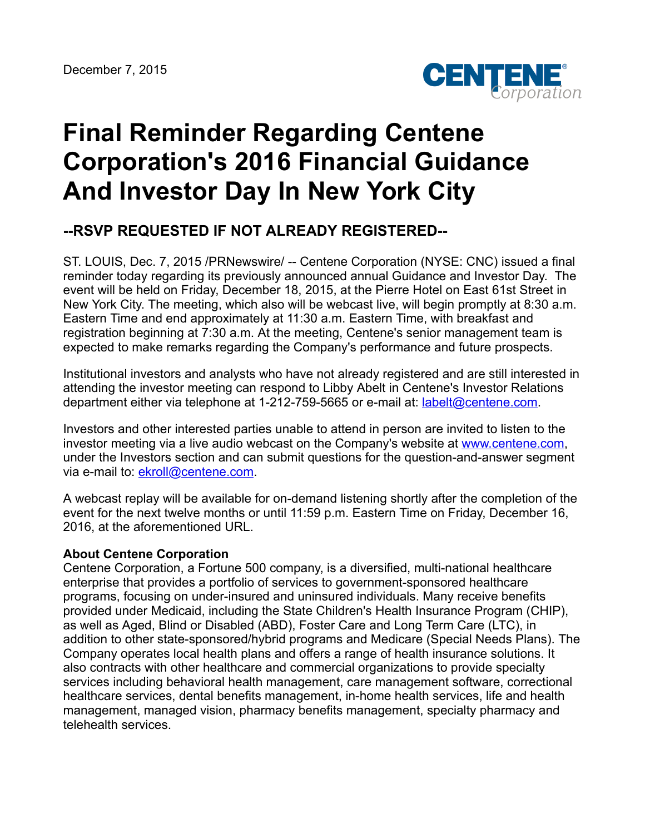

## **Final Reminder Regarding Centene Corporation's 2016 Financial Guidance And Investor Day In New York City**

## **--RSVP REQUESTED IF NOT ALREADY REGISTERED--**

ST. LOUIS, Dec. 7, 2015 /PRNewswire/ -- Centene Corporation (NYSE: CNC) issued a final reminder today regarding its previously announced annual Guidance and Investor Day. The event will be held on Friday, December 18, 2015, at the Pierre Hotel on East 61st Street in New York City. The meeting, which also will be webcast live, will begin promptly at 8:30 a.m. Eastern Time and end approximately at 11:30 a.m. Eastern Time, with breakfast and registration beginning at 7:30 a.m. At the meeting, Centene's senior management team is expected to make remarks regarding the Company's performance and future prospects.

Institutional investors and analysts who have not already registered and are still interested in attending the investor meeting can respond to Libby Abelt in Centene's Investor Relations department either via telephone at 1-212-759-5665 or e-mail at: [labelt@centene.com.](mailto:labelt@centene.com)

Investors and other interested parties unable to attend in person are invited to listen to the investor meeting via a live audio webcast on the Company's website at [www.centene.com,](http://www.centene.com/) under the Investors section and can submit questions for the question-and-answer segment via e-mail to: [ekroll@centene.com.](mailto:Questions@centene.com)

A webcast replay will be available for on-demand listening shortly after the completion of the event for the next twelve months or until 11:59 p.m. Eastern Time on Friday, December 16, 2016, at the aforementioned URL.

## **About Centene Corporation**

Centene Corporation, a Fortune 500 company, is a diversified, multi-national healthcare enterprise that provides a portfolio of services to government-sponsored healthcare programs, focusing on under-insured and uninsured individuals. Many receive benefits provided under Medicaid, including the State Children's Health Insurance Program (CHIP), as well as Aged, Blind or Disabled (ABD), Foster Care and Long Term Care (LTC), in addition to other state-sponsored/hybrid programs and Medicare (Special Needs Plans). The Company operates local health plans and offers a range of health insurance solutions. It also contracts with other healthcare and commercial organizations to provide specialty services including behavioral health management, care management software, correctional healthcare services, dental benefits management, in-home health services, life and health management, managed vision, pharmacy benefits management, specialty pharmacy and telehealth services.